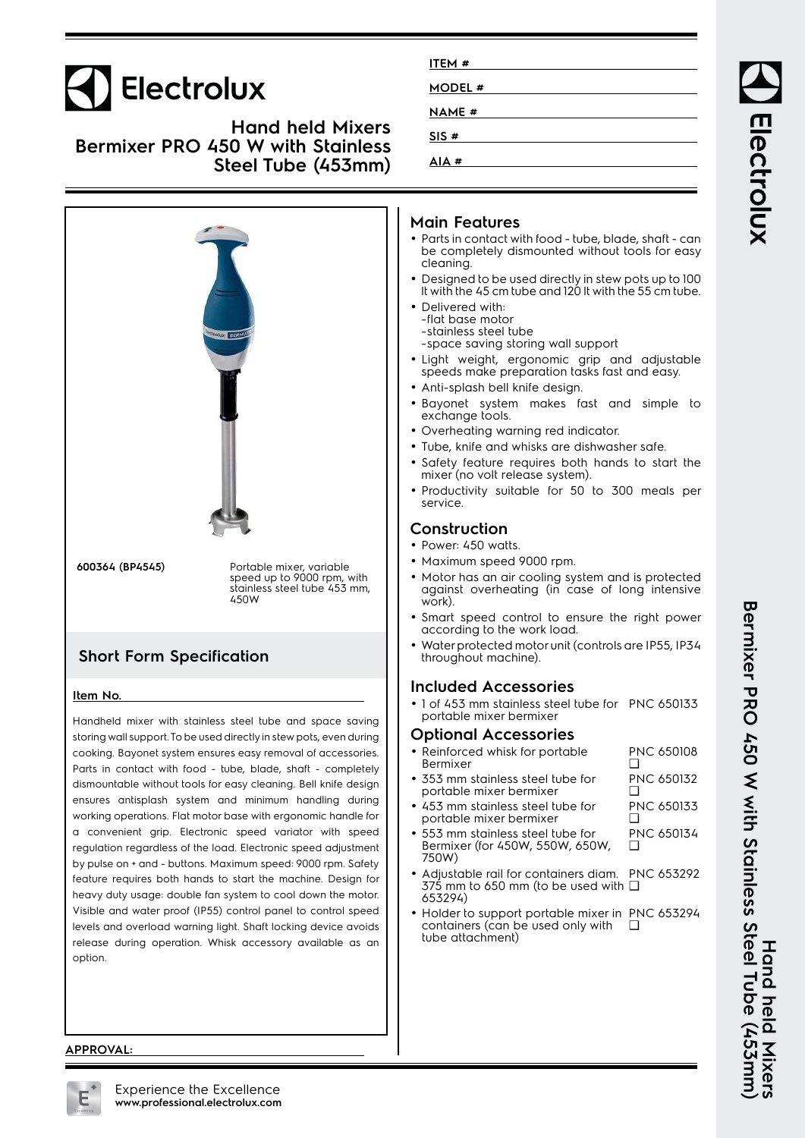# **Electrolux**

**Hand held Mixers Bermixer PRO 450 W with Stainless Steel Tube (453mm)**



cooking. Bayonet system ensures easy removal of accessories. Parts in contact with food - tube, blade, shaft - completely dismountable without tools for easy cleaning. Bell knife design ensures antisplash system and minimum handling during working operations. Flat motor base with ergonomic handle for a convenient grip. Electronic speed variator with speed regulation regardless of the load. Electronic speed adjustment by pulse on + and - buttons. Maximum speed: 9000 rpm. Safety feature requires both hands to start the machine. Design for heavy duty usage: double fan system to cool down the motor. Visible and water proof (IP55) control panel to control speed levels and overload warning light. Shaft locking device avoids release during operation. Whisk accessory available as an option.

| ITEM #        |  |
|---------------|--|
| MODEL #       |  |
| <b>NAME</b> # |  |
| SIS#          |  |
| AIA#          |  |
|               |  |

# **Main Features**

- Parts in contact with food tube, blade, shaft can be completely dismounted without tools for easy cleaning.
- Designed to be used directly in stew pots up to 100 lt with the 45 cm tube and 120 lt with the 55 cm tube.
- Delivered with: -flat base motor -stainless steel tube

-space saving storing wall support

- Light weight, ergonomic grip and adjustable speeds make preparation tasks fast and easy.
- Anti-splash bell knife design.
- Bayonet system makes fast and simple to exchange tools.
- Overheating warning red indicator.
- Tube, knife and whisks are dishwasher safe.
- Safety feature requires both hands to start the mixer (no volt release system).
- Productivity suitable for 50 to 300 meals per

# **Construction**

- Power: 450 watts.
- Maximum speed 9000 rpm.
- Motor has an air cooling system and is protected against overheating (in case of long intensive
- Smart speed control to ensure the right power according to the work load.
- Water protected motor unit (controls are IP55, IP34 throughout machine).

### **Included Accessories**

• 1 of 453 mm stainless steel tube for PNC 650133 portable mixer bermixer

### **Optional Accessories**

| • Reinforced whisk for portable<br>Bermixer                  | <b>PNC 650108</b> |
|--------------------------------------------------------------|-------------------|
| • 353 mm stainless steel tube for<br>portable mixer bermixer | <b>PNC 650132</b> |
| • 453 mm stainless steel tube for<br>portable mixer bermixer | PNC 650133        |
| • 553 mm stainless steel tube for                            | <b>PNC 650134</b> |

- Bermixer (for 450W, 550W, 650W, 750W) ❑
- • Adjustable rail for containers diam. PNC 653292 375 mm to 650 mm (to be used with ❑ 653294)
- Holder to support portable mixer in PNC 653294 containers (can be used only with tube attachment) ❑

Electrolux

#### **APPROVAL:**